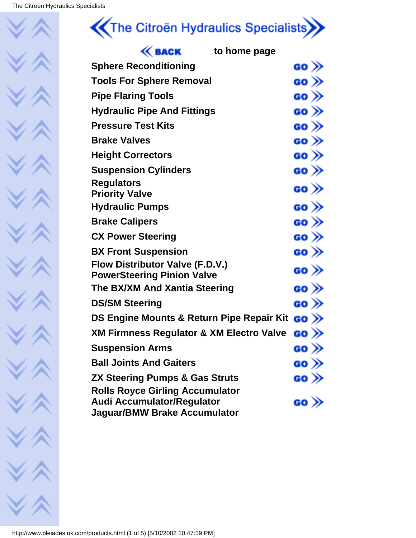# The Citroën Hydraulics Specialists>>

| $\ll$ BACK<br>to home page                                                                                         |                   |
|--------------------------------------------------------------------------------------------------------------------|-------------------|
| <b>Sphere Reconditioning</b>                                                                                       | GO »              |
| <b>Tools For Sphere Removal</b>                                                                                    | GO »              |
| <b>Pipe Flaring Tools</b>                                                                                          | GO »              |
| <b>Hydraulic Pipe And Fittings</b>                                                                                 | GO »              |
| <b>Pressure Test Kits</b>                                                                                          | GO »              |
| <b>Brake Valves</b>                                                                                                | GO »              |
| <b>Height Correctors</b>                                                                                           | GO »              |
| <b>Suspension Cylinders</b>                                                                                        | GO »              |
| <b>Regulators</b><br><b>Priority Valve</b>                                                                         | GO »              |
| <b>Hydraulic Pumps</b>                                                                                             | GO »              |
| <b>Brake Calipers</b>                                                                                              | GO »              |
| <b>CX Power Steering</b>                                                                                           | GO »              |
| <b>BX Front Suspension</b>                                                                                         | GO »              |
| <b>Flow Distributor Valve (F.D.V.)</b><br><b>PowerSteering Pinion Valve</b>                                        | GO »              |
| The BX/XM And Xantia Steering                                                                                      | GO »              |
| <b>DS/SM Steering</b>                                                                                              | GO »              |
| DS Engine Mounts & Return Pipe Repair Kit <b>GO</b>                                                                |                   |
| <b>XM Firmness Regulator &amp; XM Electro Valve</b>                                                                | $\mathsf{go} \gg$ |
| <b>Suspension Arms</b>                                                                                             | GO »              |
| <b>Ball Joints And Gaiters</b>                                                                                     | GO $\gg$          |
| <b>ZX Steering Pumps &amp; Gas Struts</b>                                                                          | GO $\gg$          |
| <b>Rolls Royce Girling Accumulator</b><br><b>Audi Accumulator/Regulator</b><br><b>Jaguar/BMW Brake Accumulator</b> | GO »              |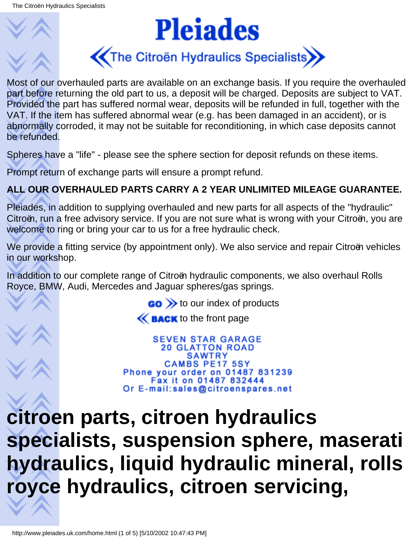# **Pleiades**



Most of our overhauled parts are available on an exchange basis. If you require the overhauled part before returning the old part to us, a deposit will be charged. Deposits are subject to VAT. Provided the part has suffered normal wear, deposits will be refunded in full, together with the VAT. If the item has suffered abnormal wear (e.g. has been damaged in an accident), or is abnormally corroded, it may not be suitable for reconditioning, in which case deposits cannot be refunded.

Spheres have a "life" - please see the sphere section for deposit refunds on these items.

Prompt return of exchange parts will ensure a prompt refund.

#### **ALL OUR OVERHAULED PARTS CARRY A 2 YEAR UNLIMITED MILEAGE GUARANTEE.**

Pleiades, in addition to supplying overhauled and new parts for all aspects of the "hydraulic" Citroën, run a free advisory service. If you are not sure what is wrong with your Citroën, you are welcome to ring or bring your car to us for a free hydraulic check.

We provide a fitting service (by appointment only). We also service and repair Citroën vehicles in our workshop.

In addition to our complete range of Citroën hydraulic components, we also overhaul Rolls Royce, BMW, Audi, Mercedes and Jaguar spheres/gas springs.

 $\cos \theta$  to our index of products

**K BACK** to the front page

**SEVEN STAR GARAGE 20 GLATTON ROAD SAWTRY CAMBS PE17 5SY** Phone your order on 01487 831239 Fax it on 01487 832444 Or E-mail:sales@citroenspares.net

### **citroen parts, citroen hydraulics specialists, suspension sphere, maserati hydraulics, liquid hydraulic mineral, rolls royce hydraulics, citroen servicing,**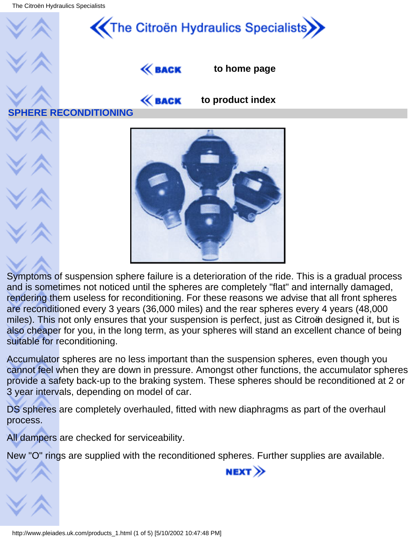

Symptoms of suspension sphere failure is a deterioration of the ride. This is a gradual process and is sometimes not noticed until the spheres are completely "flat" and internally damaged, rendering them useless for reconditioning. For these reasons we advise that all front spheres are reconditioned every 3 years (36,000 miles) and the rear spheres every 4 years (48,000 miles). This not only ensures that your suspension is perfect, just as Citroën designed it, but is also cheaper for you, in the long term, as your spheres will stand an excellent chance of being suitable for reconditioning.

Accumulator spheres are no less important than the suspension spheres, even though you cannot feel when they are down in pressure. Amongst other functions, the accumulator spheres provide a safety back-up to the braking system. These spheres should be reconditioned at 2 or 3 year intervals, depending on model of car.

DS spheres are completely overhauled, fitted with new diaphragms as part of the overhaul process.

All dampers are checked for serviceability.

New "O" rings are supplied with the reconditioned spheres. Further supplies are available.

 $NEXT$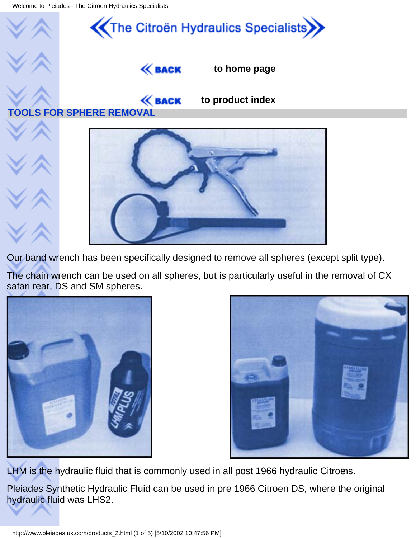

Our band wrench has been specifically designed to remove all spheres (except split type).

The chain wrench can be used on all spheres, but is particularly useful in the removal of CX safari rear, DS and SM spheres.





LHM is the hydraulic fluid that is commonly used in all post 1966 hydraulic Citroëns.

Pleiades Synthetic Hydraulic Fluid can be used in pre 1966 Citroen DS, where the original hydraulic fluid was LHS2.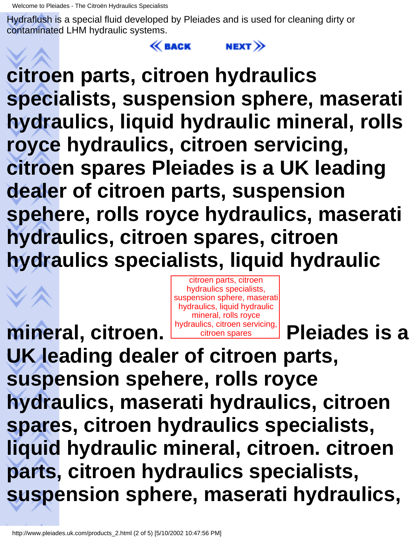**mineral, citroen.** 

Hydraflush is a special fluid developed by Pleiades and is used for cleaning dirty or contaminated LHM hydraulic systems.





**citroen parts, citroen hydraulics specialists, suspension sphere, maserati hydraulics, liquid hydraulic mineral, rolls royce hydraulics, citroen servicing, citroen spares Pleiades is a UK leading dealer of citroen parts, suspension spehere, rolls royce hydraulics, maserati hydraulics, citroen spares, citroen hydraulics specialists, liquid hydraulic**

> citroen parts, citroen hydraulics specialists, suspension sphere, maserati hydraulics, liquid hydraulic mineral, rolls royce hydraulics, citroen servicing,

citroen spares **Pleiades is a**

**UK leading dealer of citroen parts, suspension spehere, rolls royce hydraulics, maserati hydraulics, citroen spares, citroen hydraulics specialists, liquid hydraulic mineral, citroen. citroen parts, citroen hydraulics specialists, suspension sphere, maserati hydraulics,**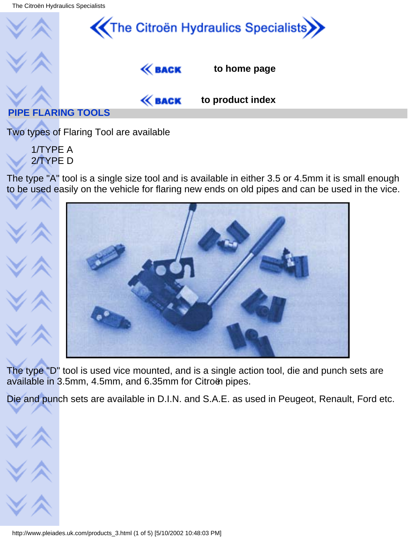

1/TYPE A 2/TYPE D

The type "A" tool is a single size tool and is available in either 3.5 or 4.5mm it is small enough to be used easily on the vehicle for flaring new ends on old pipes and can be used in the vice.



The type "D" tool is used vice mounted, and is a single action tool, die and punch sets are available in 3.5mm, 4.5mm, and 6.35mm for Citroën pipes.

Die and punch sets are available in D.I.N. and S.A.E. as used in Peugeot, Renault, Ford etc.

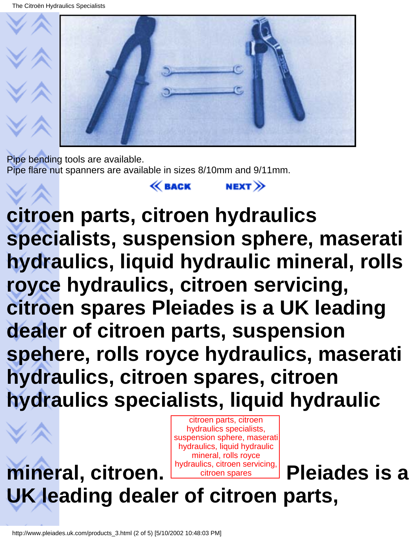

 $NEXT$ 

Pipe bending tools are available. Pipe flare nut spanners are available in sizes 8/10mm and 9/11mm.

 $\ll$  back

# **citroen parts, citroen hydraulics specialists, suspension sphere, maserati hydraulics, liquid hydraulic mineral, rolls royce hydraulics, citroen servicing, citroen spares Pleiades is a UK leading dealer of citroen parts, suspension spehere, rolls royce hydraulics, maserati hydraulics, citroen spares, citroen hydraulics specialists, liquid hydraulic**

citroen parts, citroen hydraulics specialists, suspension sphere, maserati hydraulics, liquid hydraulic mineral, rolls royce

#### **mineral, citroen.**  hydraulics, citroen servicing, citroen spares **Pleiades is a UK leading dealer of citroen parts,**

http://www.pleiades.uk.com/products\_3.html (2 of 5) [5/10/2002 10:48:03 PM]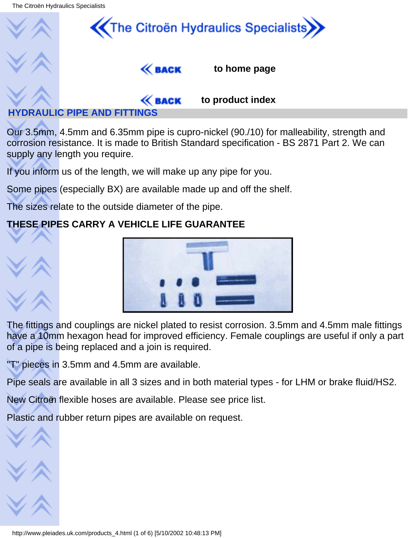

Our 3.5mm, 4.5mm and 6.35mm pipe is cupro-nickel (90./10) for malleability, strength and corrosion resistance. It is made to British Standard specification - BS 2871 Part 2. We can supply any length you require.

If you inform us of the length, we will make up any pipe for you.

Some pipes (especially BX) are available made up and off the shelf.

The sizes relate to the outside diameter of the pipe.

### **THESE PIPES CARRY A VEHICLE LIFE GUARANTEE**



The fittings and couplings are nickel plated to resist corrosion. 3.5mm and 4.5mm male fittings have a 10mm hexagon head for improved efficiency. Female couplings are useful if only a part of a pipe is being replaced and a join is required.

"T" pieces in 3.5mm and 4.5mm are available.

Pipe seals are available in all 3 sizes and in both material types - for LHM or brake fluid/HS2.

New Citroën flexible hoses are available. Please see price list.

Plastic and rubber return pipes are available on request.

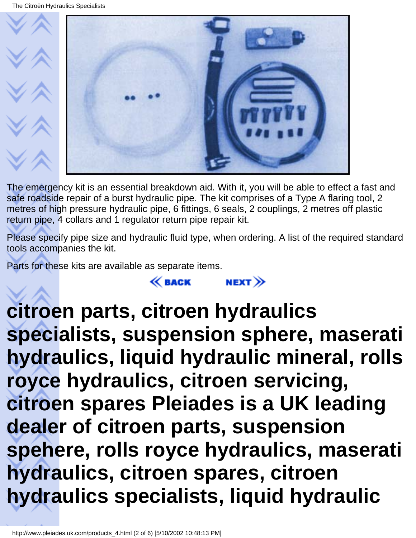

The emergency kit is an essential breakdown aid. With it, you will be able to effect a fast and safe roadside repair of a burst hydraulic pipe. The kit comprises of a Type A flaring tool, 2 metres of high pressure hydraulic pipe, 6 fittings, 6 seals, 2 couplings, 2 metres off plastic return pipe, 4 collars and 1 regulator return pipe repair kit.

Please specify pipe size and hydraulic fluid type, when ordering. A list of the required standard tools accompanies the kit.

 $NEXT$ 

 $\ll$  BACK

Parts for these kits are available as separate items.

# **citroen parts, citroen hydraulics specialists, suspension sphere, maserati hydraulics, liquid hydraulic mineral, rolls royce hydraulics, citroen servicing, citroen spares Pleiades is a UK leading dealer of citroen parts, suspension spehere, rolls royce hydraulics, maserati hydraulics, citroen spares, citroen hydraulics specialists, liquid hydraulic**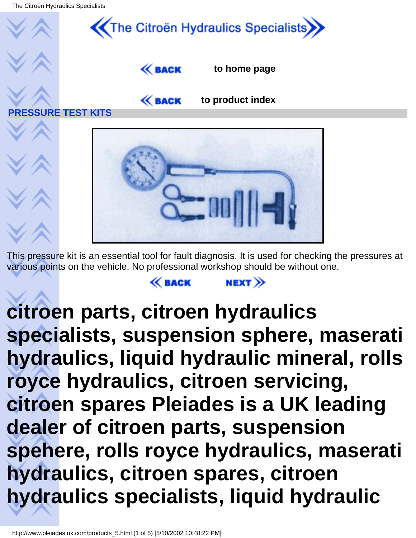

This pressure kit is an essential tool for fault diagnosis. It is used for checking the pressures at various points on the vehicle. No professional workshop should be without one.

 $NEXT$ 

 $\ll$  BACK

# **citroen parts, citroen hydraulics specialists, suspension sphere, maserati hydraulics, liquid hydraulic mineral, rolls royce hydraulics, citroen servicing, citroen spares Pleiades is a UK leading dealer of citroen parts, suspension spehere, rolls royce hydraulics, maserati hydraulics, citroen spares, citroen hydraulics specialists, liquid hydraulic**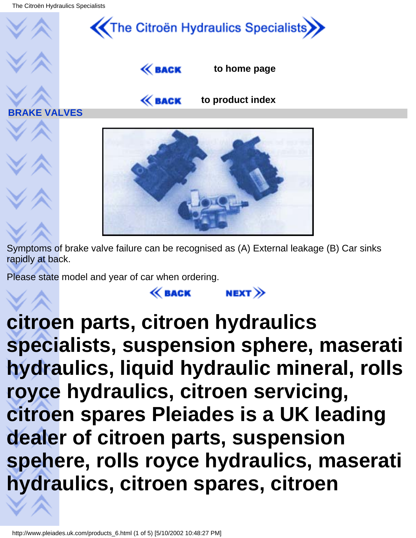

Symptoms of brake valve failure can be recognised as (A) External leakage (B) Car sinks rapidly at back.

 $NEXT$ 

 $\ll$  BACK

Please state model and year of car when ordering.

# **citroen parts, citroen hydraulics specialists, suspension sphere, maserati hydraulics, liquid hydraulic mineral, rolls royce hydraulics, citroen servicing, citroen spares Pleiades is a UK leading dealer of citroen parts, suspension spehere, rolls royce hydraulics, maserati hydraulics, citroen spares, citroen**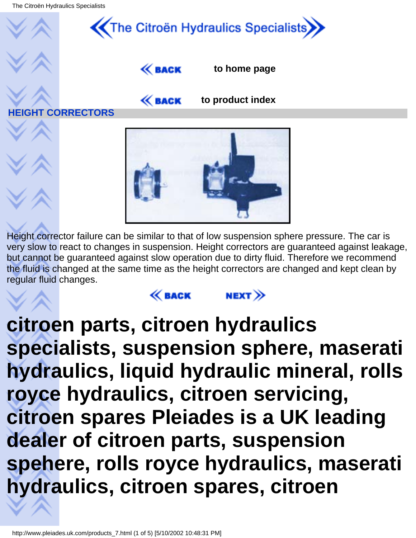

**EACK** 

Height corrector failure can be similar to that of low suspension sphere pressure. The car is very slow to react to changes in suspension. Height correctors are guaranteed against leakage, but cannot be guaranteed against slow operation due to dirty fluid. Therefore we recommend the fluid is changed at the same time as the height correctors are changed and kept clean by regular fluid changes.

NEXT $\gg$ 

# **citroen parts, citroen hydraulics specialists, suspension sphere, maserati hydraulics, liquid hydraulic mineral, rolls royce hydraulics, citroen servicing, citroen spares Pleiades is a UK leading dealer of citroen parts, suspension spehere, rolls royce hydraulics, maserati hydraulics, citroen spares, citroen**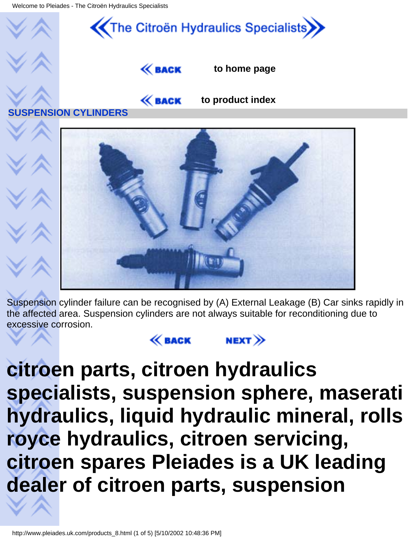

Suspension cylinder failure can be recognised by (A) External Leakage (B) Car sinks rapidly in the affected area. Suspension cylinders are not always suitable for reconditioning due to excessive corrosion.

NEXT $\gg$ 

**EACK** 

**citroen parts, citroen hydraulics specialists, suspension sphere, maserati hydraulics, liquid hydraulic mineral, rolls royce hydraulics, citroen servicing, citroen spares Pleiades is a UK leading dealer of citroen parts, suspension**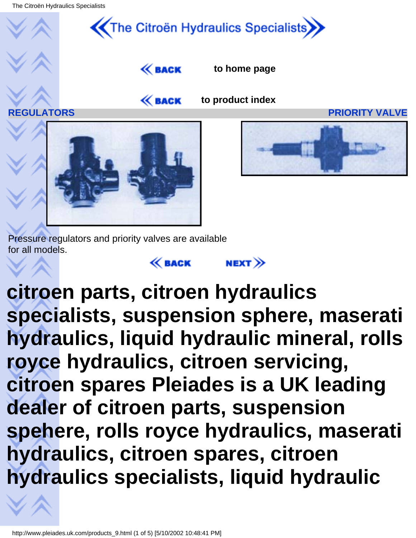

Pressure regulators and priority valves are available for all models.



**citroen parts, citroen hydraulics specialists, suspension sphere, maserati hydraulics, liquid hydraulic mineral, rolls royce hydraulics, citroen servicing, citroen spares Pleiades is a UK leading dealer of citroen parts, suspension spehere, rolls royce hydraulics, maserati hydraulics, citroen spares, citroen hydraulics specialists, liquid hydraulic**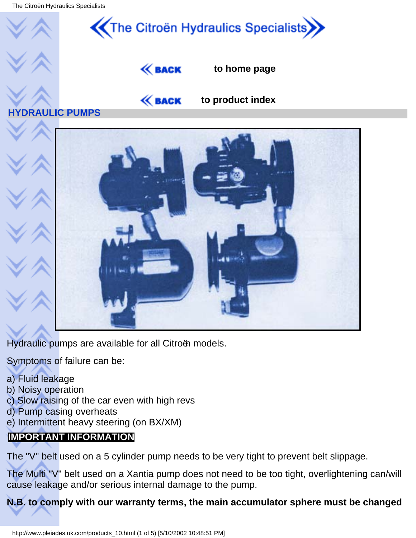

Hydraulic pumps are available for all Citroën models.

Symptoms of failure can be:

- a) Fluid leakage
- b) Noisy operation
- c) Slow raising of the car even with high revs
- d) Pump casing overheats
- e) Intermittent heavy steering (on BX/XM)

### **IMPORTANT INFORMATION**

The "V" belt used on a 5 cylinder pump needs to be very tight to prevent belt slippage.

The Multi "V" belt used on a Xantia pump does not need to be too tight, overlightening can/will cause leakage and/or serious internal damage to the pump.

**N.B. to comply with our warranty terms, the main accumulator sphere must be changed**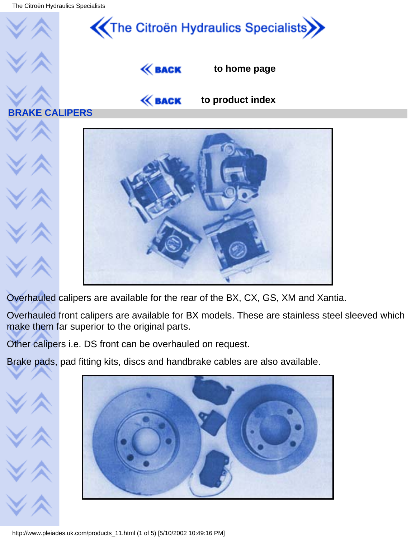

Overhauled calipers are available for the rear of the BX, CX, GS, XM and Xantia.

Overhauled front calipers are available for BX models. These are stainless steel sleeved which make them far superior to the original parts.

Other calipers i.e. DS front can be overhauled on request.

Brake pads, pad fitting kits, discs and handbrake cables are also available.

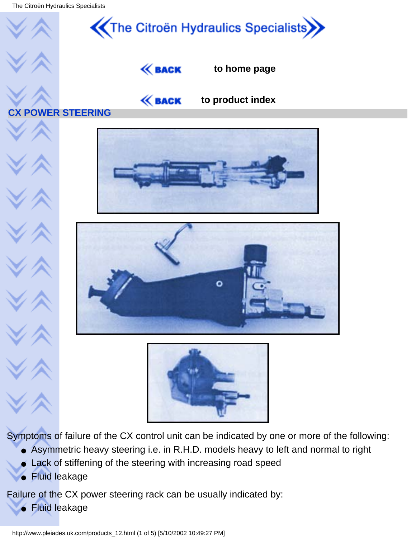

Symptoms of failure of the CX control unit can be indicated by one or more of the following:

- Asymmetric heavy steering i.e. in R.H.D. models heavy to left and normal to right
- Lack of stiffening of the steering with increasing road speed
- Fluid leakage

Failure of the CX power steering rack can be usually indicated by:

● Fluid leakage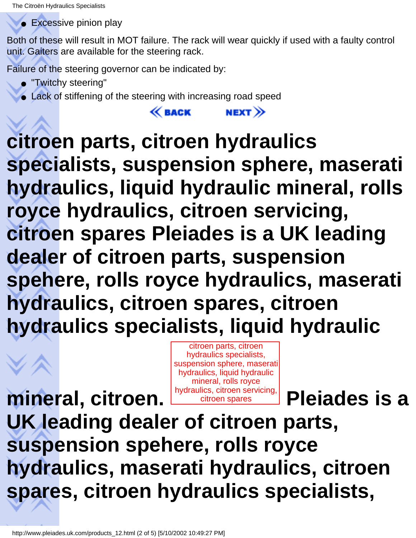$\bullet$  Excessive pinion play

Both of these will result in MOT failure. The rack will wear quickly if used with a faulty control unit. Gaiters are available for the steering rack.

 $NEXT$ 

Failure of the steering governor can be indicated by:

- "Twitchy steering"
- Lack of stiffening of the steering with increasing road speed

**EACK** 

**citroen parts, citroen hydraulics specialists, suspension sphere, maserati hydraulics, liquid hydraulic mineral, rolls royce hydraulics, citroen servicing, citroen spares Pleiades is a UK leading dealer of citroen parts, suspension spehere, rolls royce hydraulics, maserati hydraulics, citroen spares, citroen hydraulics specialists, liquid hydraulic**

> citroen parts, citroen hydraulics specialists, suspension sphere, maserati hydraulics, liquid hydraulic mineral, rolls royce hydraulics, citroen servicing,

citroen spares **Pleiades is a**

**UK leading dealer of citroen parts, suspension spehere, rolls royce hydraulics, maserati hydraulics, citroen spares, citroen hydraulics specialists,**

**mineral, citroen.**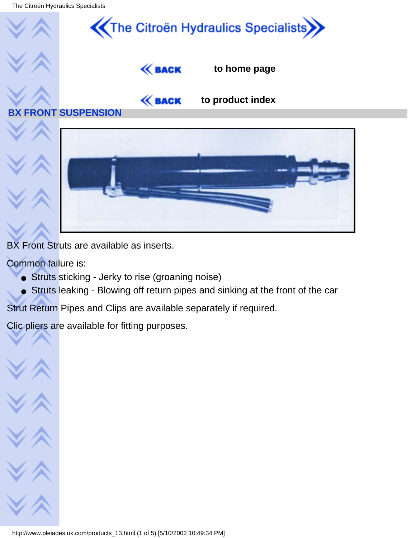The Citroën Hydraulics Specialists



BX Front Struts are available as inserts.

Common failure is:

- Struts sticking Jerky to rise (groaning noise)
- Struts leaking Blowing off return pipes and sinking at the front of the car

Strut Return Pipes and Clips are available separately if required.

Clic pliers are available for fitting purposes.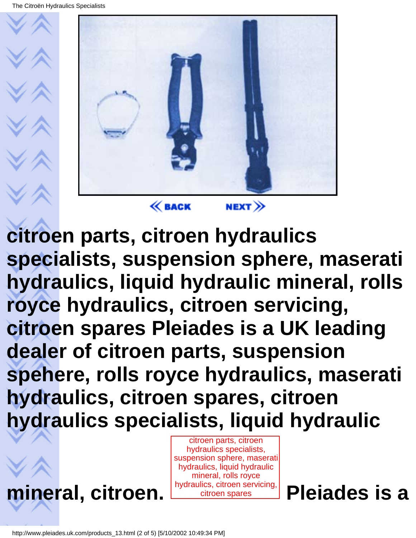

**citroen parts, citroen hydraulics specialists, suspension sphere, maserati hydraulics, liquid hydraulic mineral, rolls royce hydraulics, citroen servicing, citroen spares Pleiades is a UK leading dealer of citroen parts, suspension spehere, rolls royce hydraulics, maserati hydraulics, citroen spares, citroen hydraulics specialists, liquid hydraulic**

**mineral, citroen.** 

citroen parts, citroen hydraulics specialists, suspension sphere, maserati hydraulics, liquid hydraulic mineral, rolls royce hydraulics, citroen servicing,

citroen spares **Pleiades is a**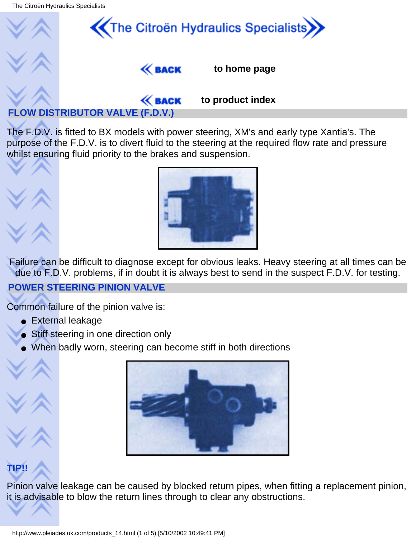

The F.D.V. is fitted to BX models with power steering, XM's and early type Xantia's. The purpose of the F.D.V. is to divert fluid to the steering at the required flow rate and pressure whilst ensuring fluid priority to the brakes and suspension.





Failure can be difficult to diagnose except for obvious leaks. Heavy steering at all times can be due to F.D.V. problems, if in doubt it is always best to send in the suspect F.D.V. for testing.

#### **POWER STEERING PINION VALVE**

Common failure of the pinion valve is:

- External leakage
- Stiff steering in one direction only
- When badly worn, steering can become stiff in both directions



### **TIP!!**

Pinion valve leakage can be caused by blocked return pipes, when fitting a replacement pinion, it is advisable to blow the return lines through to clear any obstructions.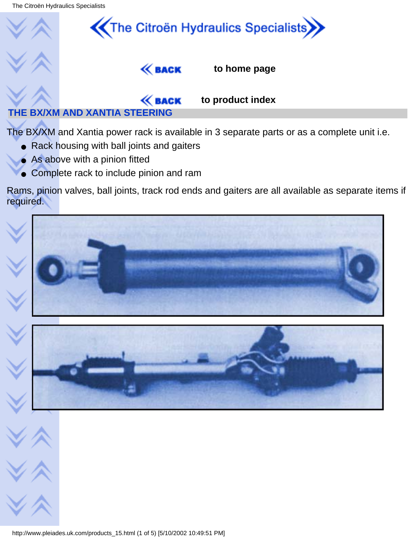



#### **to home page**

**to product index**

#### $\ll$  BACK **THE BX/XM AND XANTIA STEERING**

The BX/XM and Xantia power rack is available in 3 separate parts or as a complete unit i.e.

- Rack housing with ball joints and gaiters
- As above with a pinion fitted
- Complete rack to include pinion and ram

Rams, pinion valves, ball joints, track rod ends and gaiters are all available as separate items if required.





http://www.pleiades.uk.com/products\_15.html (1 of 5) [5/10/2002 10:49:51 PM]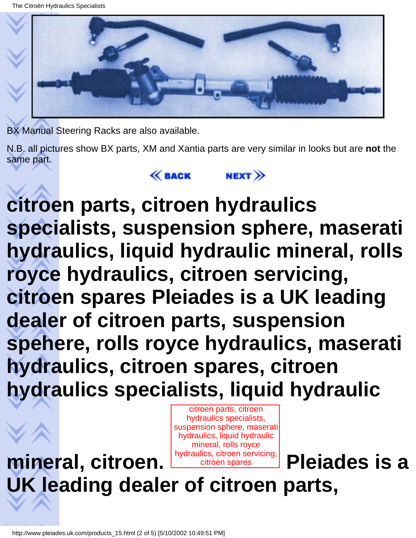

BX Manual Steering Racks are also available.

N.B. all pictures show BX parts, XM and Xantia parts are very similar in looks but are **not** the same part.



**citroen parts, citroen hydraulics specialists, suspension sphere, maserati hydraulics, liquid hydraulic mineral, rolls royce hydraulics, citroen servicing, citroen spares Pleiades is a UK leading dealer of citroen parts, suspension spehere, rolls royce hydraulics, maserati hydraulics, citroen spares, citroen hydraulics specialists, liquid hydraulic**

> citroen parts, citroen hydraulics specialists, suspension sphere, maserati hydraulics, liquid hydraulic mineral, rolls royce

**mineral, citroen.**  hydraulics, citroen servicing, citroen spares **Pleiades is a UK leading dealer of citroen parts,**

http://www.pleiades.uk.com/products\_15.html (2 of 5) [5/10/2002 10:49:51 PM]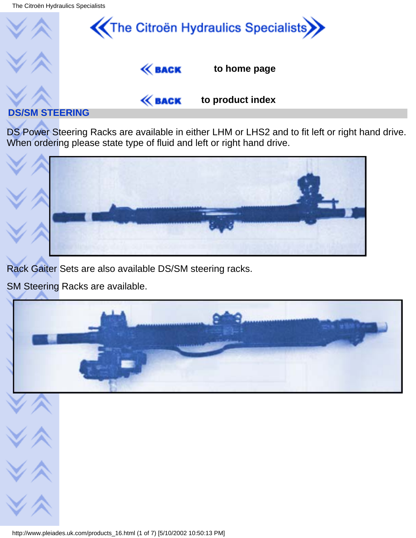The Citroën Hydraulics Specialists



DS Power Steering Racks are available in either LHM or LHS2 and to fit left or right hand drive. When ordering please state type of fluid and left or right hand drive.



Rack Gaiter Sets are also available DS/SM steering racks.

SM Steering Racks are available.

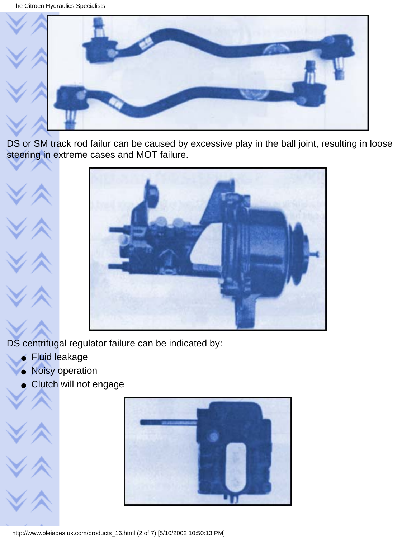

DS or SM track rod failur can be caused by excessive play in the ball joint, resulting in loose steering in extreme cases and MOT failure.



DS centrifugal regulator failure can be indicated by:

- Fluid leakage
- Noisy operation
- Clutch will not engage



http://www.pleiades.uk.com/products\_16.html (2 of 7) [5/10/2002 10:50:13 PM]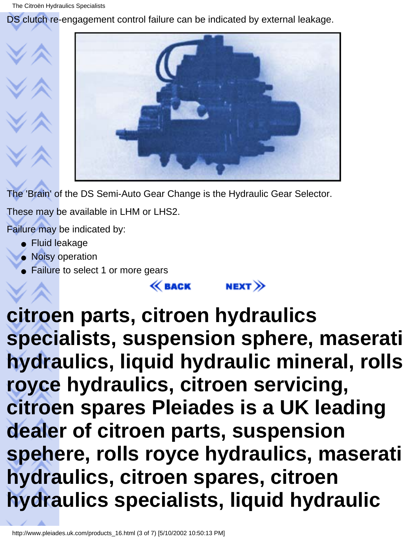DS clutch re-engagement control failure can be indicated by external leakage.



The 'Brain' of the DS Semi-Auto Gear Change is the Hydraulic Gear Selector.

These may be available in LHM or LHS2.

Failure may be indicated by:

- Fluid leakage
- Noisy operation
- Failure to select 1 or more gears



## **citroen parts, citroen hydraulics specialists, suspension sphere, maserati hydraulics, liquid hydraulic mineral, rolls royce hydraulics, citroen servicing, citroen spares Pleiades is a UK leading dealer of citroen parts, suspension spehere, rolls royce hydraulics, maserati hydraulics, citroen spares, citroen hydraulics specialists, liquid hydraulic**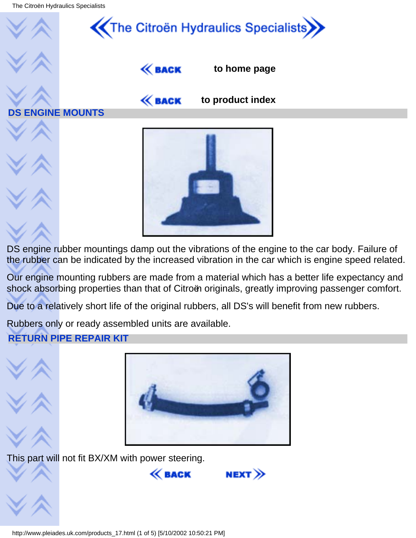

DS engine rubber mountings damp out the vibrations of the engine to the car body. Failure of the rubber can be indicated by the increased vibration in the car which is engine speed related.

Our engine mounting rubbers are made from a material which has a better life expectancy and shock absorbing properties than that of Citroën originals, greatly improving passenger comfort.

Due to a relatively short life of the original rubbers, all DS's will benefit from new rubbers.

Rubbers only or ready assembled units are available.

#### **RETURN PIPE REPAIR KIT**



This part will not fit BX/XM with power steering.



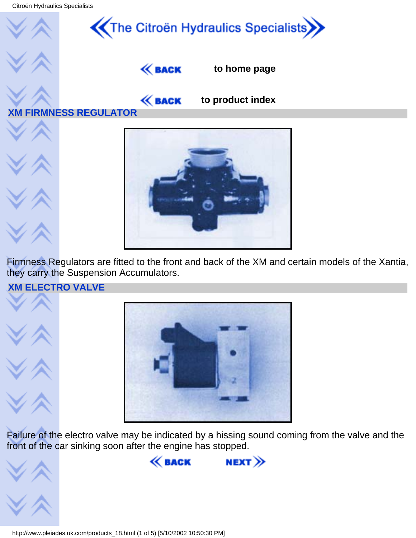

Firmness Regulators are fitted to the front and back of the XM and certain models of the Xantia, they carry the Suspension Accumulators.

#### **XM ELECTRO VALVE**





Failure of the electro valve may be indicated by a hissing sound coming from the valve and the front of the car sinking soon after the engine has stopped.



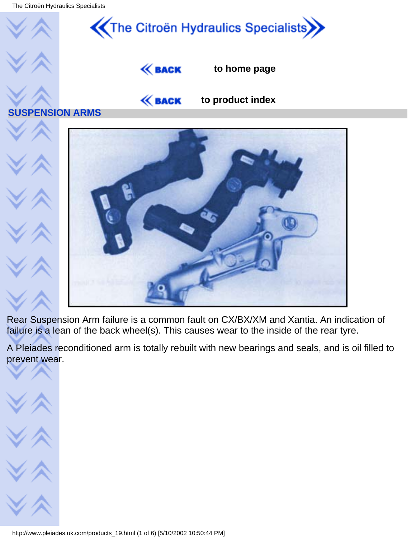

Rear Suspension Arm failure is a common fault on CX/BX/XM and Xantia. An indication of failure is a lean of the back wheel(s). This causes wear to the inside of the rear tyre.

A Pleiades reconditioned arm is totally rebuilt with new bearings and seals, and is oil filled to prevent wear.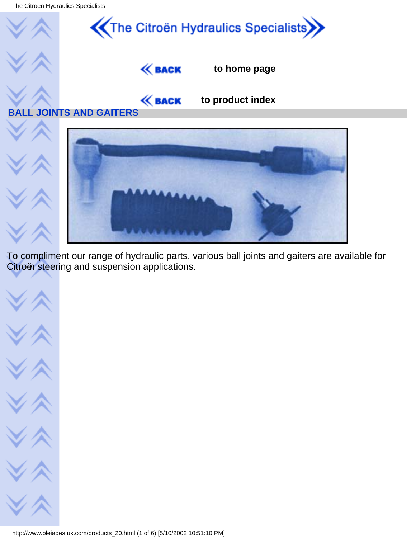

To compliment our range of hydraulic parts, various ball joints and gaiters are available for Citroën steering and suspension applications.

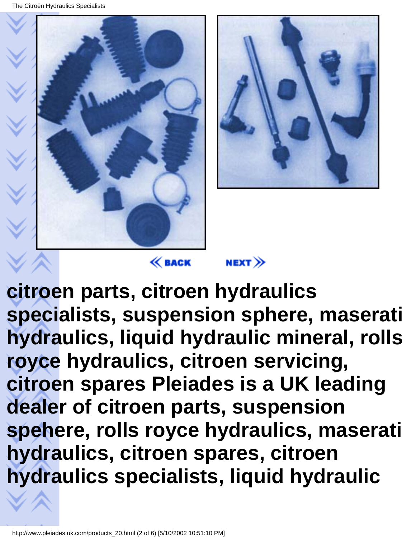



 $\ll$  BACK

 $NEXT$ 

**citroen parts, citroen hydraulics specialists, suspension sphere, maserati hydraulics, liquid hydraulic mineral, rolls royce hydraulics, citroen servicing, citroen spares Pleiades is a UK leading dealer of citroen parts, suspension spehere, rolls royce hydraulics, maserati hydraulics, citroen spares, citroen hydraulics specialists, liquid hydraulic**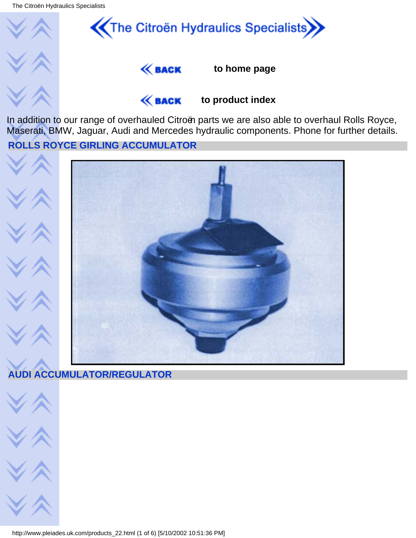



**to home page**

 $\ll$  BACK

**to product index**

In addition to our range of overhauled Citroën parts we are also able to overhaul Rolls Royce, Maserati, BMW, Jaguar, Audi and Mercedes hydraulic components. Phone for further details.

#### **ROLLS ROYCE GIRLING ACCUMULATOR**



### **AUDI ACCUMULATOR/REGULATOR**



http://www.pleiades.uk.com/products\_22.html (1 of 6) [5/10/2002 10:51:36 PM]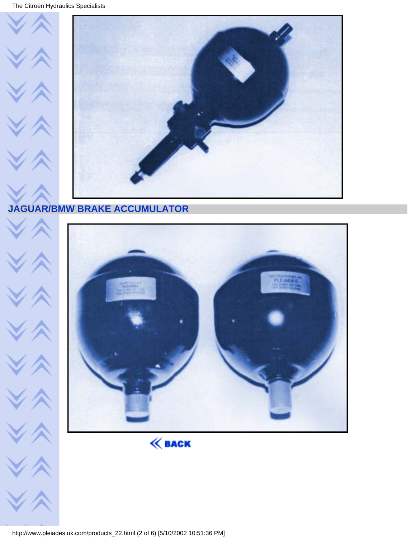

### **JAGUAR/BMW BRAKE ACCUMULATOR**





http://www.pleiades.uk.com/products\_22.html (2 of 6) [5/10/2002 10:51:36 PM]